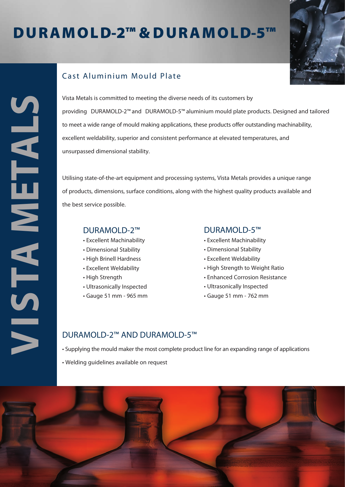# D U R A MO LD-2™ & D U R A MO LD-5™



## Cast Aluminium Mould Plate

Vista Metals is committed to meeting the diverse needs of its customers by providing DURAMOLD-2™ and DURAMOLD-5™ aluminium mould plate products. Designed and tailored to meet a wide range of mould making applications, these products offer outstanding machinability, excellent weldability, superior and consistent performance at elevated temperatures, and unsurpassed dimensional stability.

Utilising state-of-the-art equipment and processing systems, Vista Metals provides a unique range of products, dimensions, surface conditions, along with the highest quality products available and the best service possible.

#### DURAMOLD-2™

- Excellent Machinability
- Dimensional Stability
- High Brinell Hardness
- Excellent Weldability
- High Strength
- Ultrasonically Inspected
- Gauge 51 mm 965 mm

#### DURAMOLD-5™

- Excellent Machinability
- Dimensional Stability
- Excellent Weldability
- High Strength to Weight Ratio
- Enhanced Corrosion Resistance
- Ultrasonically Inspected
- Gauge 51 mm 762 mm

### DURAMOLD-2™ AND DURAMOLD-5™

• Supplying the mould maker the most complete product line for an expanding range of applications

• Welding guidelines available on request